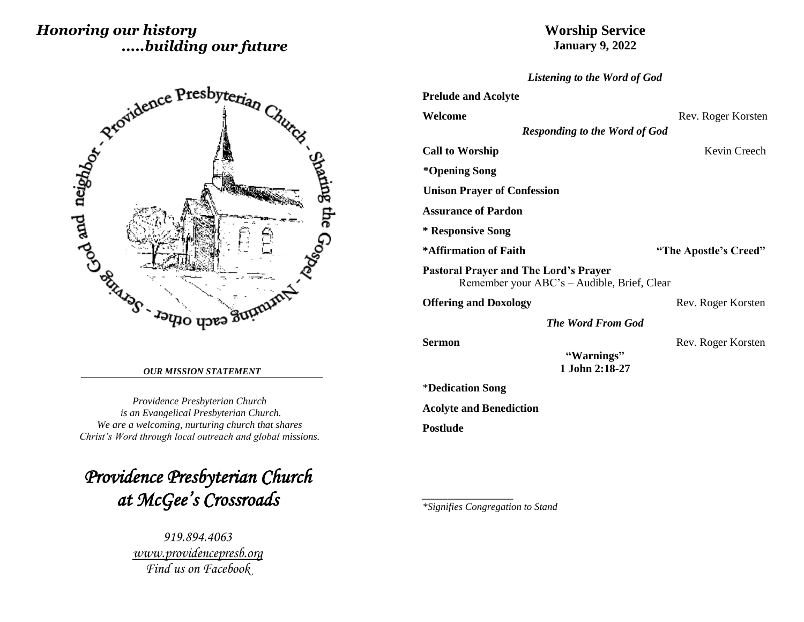# *Honoring our history .....building our future*

## **Worship Service January 9, 2022**

 Spaing the Go<sub>op</sub>   $\overline{1}$ 

#### *OUR MISSION STATEMENT*

*Providence Presbyterian Church is an Evangelical Presbyterian Church. We are a welcoming, nurturing church that shares Christ's Word through local outreach and global missions.*

*Providence Presbyterian Church at McGee's Crossroads* 

> *919.894.4063 [www.providencepresb.org](http://www.providencepresb.org/) Find us on Facebook*

| Listening to the Word of God                                                                |                       |  |  |  |
|---------------------------------------------------------------------------------------------|-----------------------|--|--|--|
| <b>Prelude and Acolyte</b>                                                                  |                       |  |  |  |
| Welcome                                                                                     | Rev. Roger Korsten    |  |  |  |
| <b>Responding to the Word of God</b>                                                        |                       |  |  |  |
| <b>Call to Worship</b>                                                                      | Kevin Creech          |  |  |  |
| *Opening Song                                                                               |                       |  |  |  |
| <b>Unison Prayer of Confession</b>                                                          |                       |  |  |  |
| <b>Assurance of Pardon</b>                                                                  |                       |  |  |  |
| * Responsive Song                                                                           |                       |  |  |  |
| *Affirmation of Faith                                                                       | "The Apostle's Creed" |  |  |  |
| <b>Pastoral Prayer and The Lord's Prayer</b><br>Remember your ABC's - Audible, Brief, Clear |                       |  |  |  |
| <b>Offering and Doxology</b>                                                                | Rev. Roger Korsten    |  |  |  |
| <b>The Word From God</b>                                                                    |                       |  |  |  |
| Sermon<br>"Warnings"<br>1 John 2:18-27                                                      | Rev. Roger Korsten    |  |  |  |
| *Dedication Song                                                                            |                       |  |  |  |
| <b>Acolyte and Benediction</b>                                                              |                       |  |  |  |
| Postlude                                                                                    |                       |  |  |  |
|                                                                                             |                       |  |  |  |
|                                                                                             |                       |  |  |  |
|                                                                                             |                       |  |  |  |
|                                                                                             |                       |  |  |  |

*\*Signifies Congregation to Stand*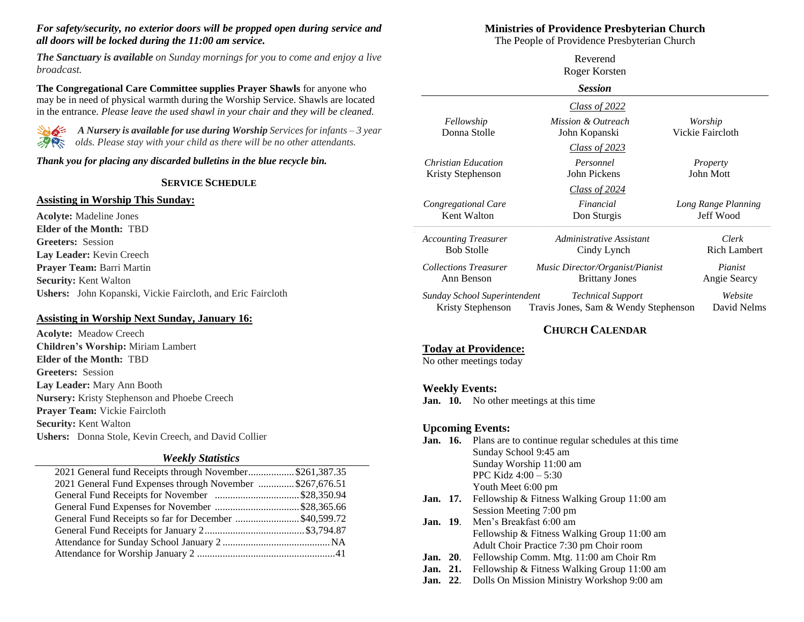#### *For safety/security, no exterior doors will be propped open during service and all doors will be locked during the 11:00 am service.*

*The Sanctuary is available on Sunday mornings for you to come and enjoy a live broadcast.*

**The Congregational Care Committee supplies Prayer Shawls** for anyone who may be in need of physical warmth during the Worship Service. Shawls are located in the entrance. *Please leave the used shawl in your chair and they will be cleaned.*



*A Nursery is available for use during Worship Services for infants – 3 year <i>olds. Please stay with your child as there will be no other attendants.* 

#### *Thank you for placing any discarded bulletins in the blue recycle bin.*

#### **SERVICE SCHEDULE**

#### **Assisting in Worship This Sunday:**

**Acolyte:** Madeline Jones **Elder of the Month:** TBD **Greeters:** Session **Lay Leader:** Kevin Creech **Prayer Team:** Barri Martin **Security:** Kent Walton **Ushers:** John Kopanski, Vickie Faircloth, and Eric Faircloth

### **Assisting in Worship Next Sunday, January 16:**

**Acolyte:** Meadow Creech **Children's Worship:** Miriam Lambert **Elder of the Month:** TBD **Greeters:** Session **Lay Leader:** Mary Ann Booth **Nursery:** Kristy Stephenson and Phoebe Creech **Prayer Team:** Vickie Faircloth **Security:** Kent Walton **Ushers:** Donna Stole, Kevin Creech, and David Collier

#### *Weekly Statistics*

| 2021 General fund Receipts through November\$261,387.35  |  |
|----------------------------------------------------------|--|
| 2021 General Fund Expenses through November \$267,676.51 |  |
|                                                          |  |
|                                                          |  |
| General Fund Receipts so far for December \$40,599.72    |  |
|                                                          |  |
|                                                          |  |
|                                                          |  |
|                                                          |  |

#### **Ministries of Providence Presbyterian Church**

The People of Providence Presbyterian Church

|                              | Reverend                             |                     |
|------------------------------|--------------------------------------|---------------------|
|                              | Roger Korsten                        |                     |
| <b>Session</b>               |                                      |                     |
|                              | Class of 2022                        |                     |
| Fellowship                   | Mission & Outreach                   | Worship             |
| Donna Stolle                 | John Kopanski                        | Vickie Faircloth    |
|                              | <u>Class of 2023</u>                 |                     |
| <b>Christian Education</b>   | Personnel                            | Property            |
| Kristy Stephenson            | John Pickens                         | John Mott           |
|                              | Class of 2024                        |                     |
| Congregational Care          | Financial                            | Long Range Planning |
| Kent Walton                  | Don Sturgis                          | Jeff Wood           |
| <b>Accounting Treasurer</b>  | Administrative Assistant             | Clerk               |
| <b>Bob Stolle</b>            | Cindy Lynch                          | <b>Rich Lambert</b> |
| <b>Collections Treasurer</b> | Music Director/Organist/Pianist      | Pianist             |
| Ann Benson                   | <b>Brittany Jones</b>                | Angie Searcy        |
| Sunday School Superintendent | <b>Technical Support</b>             | Website             |
| Kristy Stephenson            | Travis Jones, Sam & Wendy Stephenson | David Nelms         |

### **CHURCH CALENDAR**

### **Today at Providence:**

No other meetings today

### **Weekly Events:**

**Jan. 10.** No other meetings at this time

#### **Upcoming Events:**

- **Jan. 16.** Plans are to continue regular schedules at this time Sunday School 9:45 am Sunday Worship 11:00 am PPC Kidz 4:00 – 5:30 Youth Meet 6:00 pm
- **Jan. 17.** Fellowship & Fitness Walking Group 11:00 am Session Meeting 7:00 pm
- **Jan. 19**. Men's Breakfast 6:00 am Fellowship & Fitness Walking Group 11:00 am Adult Choir Practice 7:30 pm Choir room
- **Jan. 20**. Fellowship Comm. Mtg. 11:00 am Choir Rm
- **Jan. 21.** Fellowship & Fitness Walking Group 11:00 am
- **Jan. 22**. Dolls On Mission Ministry Workshop 9:00 am